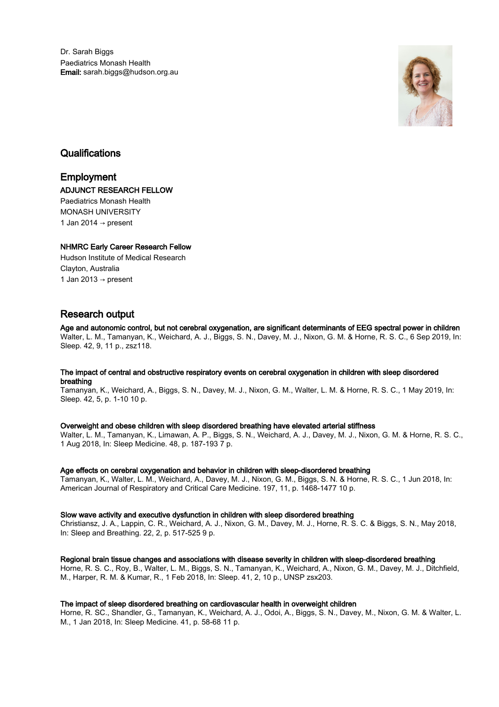Dr. Sarah Biggs Paediatrics Monash Health Email: sarah.biggs@hudson.org.au



# **Qualifications**

# Employment ADJUNCT RESEARCH FELLOW Paediatrics Monash Health

MONASH UNIVERSITY 1 Jan 2014  $\rightarrow$  present

# NHMRC Early Career Research Fellow

Hudson Institute of Medical Research Clayton, Australia 1 Jan 2013  $\rightarrow$  present

# Research output

Age and autonomic control, but not cerebral oxygenation, are significant determinants of EEG spectral power in children Walter, L. M., Tamanyan, K., Weichard, A. J., Biggs, S. N., Davey, M. J., Nixon, G. M. & Horne, R. S. C., 6 Sep 2019, In: Sleep. 42, 9, 11 p., zsz118.

# The impact of central and obstructive respiratory events on cerebral oxygenation in children with sleep disordered breathing

Tamanyan, K., Weichard, A., Biggs, S. N., Davey, M. J., Nixon, G. M., Walter, L. M. & Horne, R. S. C., 1 May 2019, In: Sleep. 42, 5, p. 1-10 10 p.

# Overweight and obese children with sleep disordered breathing have elevated arterial stiffness

Walter, L. M., Tamanyan, K., Limawan, A. P., Biggs, S. N., Weichard, A. J., Davey, M. J., Nixon, G. M. & Horne, R. S. C., 1 Aug 2018, In: Sleep Medicine. 48, p. 187-193 7 p.

# Age effects on cerebral oxygenation and behavior in children with sleep-disordered breathing

Tamanyan, K., Walter, L. M., Weichard, A., Davey, M. J., Nixon, G. M., Biggs, S. N. & Horne, R. S. C., 1 Jun 2018, In: American Journal of Respiratory and Critical Care Medicine. 197, 11, p. 1468-1477 10 p.

# Slow wave activity and executive dysfunction in children with sleep disordered breathing

Christiansz, J. A., Lappin, C. R., Weichard, A. J., Nixon, G. M., Davey, M. J., Horne, R. S. C. & Biggs, S. N., May 2018, In: Sleep and Breathing. 22, 2, p. 517-525 9 p.

# Regional brain tissue changes and associations with disease severity in children with sleep-disordered breathing

Horne, R. S. C., Roy, B., Walter, L. M., Biggs, S. N., Tamanyan, K., Weichard, A., Nixon, G. M., Davey, M. J., Ditchfield, M., Harper, R. M. & Kumar, R., 1 Feb 2018, In: Sleep. 41, 2, 10 p., UNSP zsx203.

# The impact of sleep disordered breathing on cardiovascular health in overweight children

Horne, R. SC., Shandler, G., Tamanyan, K., Weichard, A. J., Odoi, A., Biggs, S. N., Davey, M., Nixon, G. M. & Walter, L. M., 1 Jan 2018, In: Sleep Medicine. 41, p. 58-68 11 p.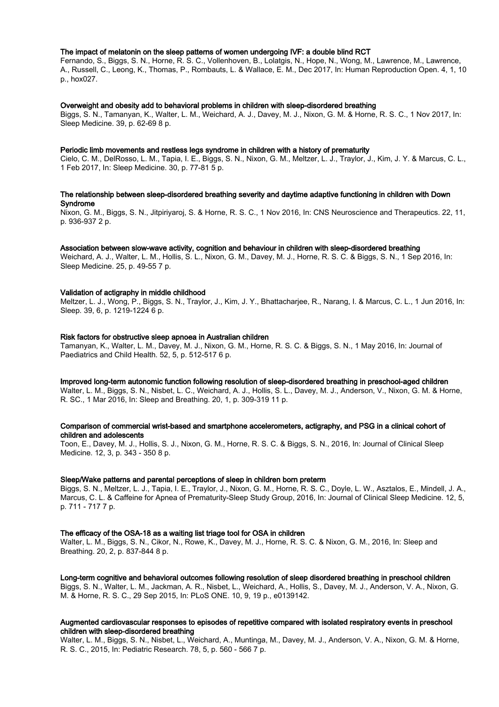## The impact of melatonin on the sleep patterns of women undergoing IVF: a double blind RCT

Fernando, S., Biggs, S. N., Horne, R. S. C., Vollenhoven, B., Lolatgis, N., Hope, N., Wong, M., Lawrence, M., Lawrence, A., Russell, C., Leong, K., Thomas, P., Rombauts, L. & Wallace, E. M., Dec 2017, In: Human Reproduction Open. 4, 1, 10 p., hox027.

#### Overweight and obesity add to behavioral problems in children with sleep-disordered breathing

Biggs, S. N., Tamanyan, K., Walter, L. M., Weichard, A. J., Davey, M. J., Nixon, G. M. & Horne, R. S. C., 1 Nov 2017, In: Sleep Medicine. 39, p. 62-69 8 p.

#### Periodic limb movements and restless legs syndrome in children with a history of prematurity

Cielo, C. M., DelRosso, L. M., Tapia, I. E., Biggs, S. N., Nixon, G. M., Meltzer, L. J., Traylor, J., Kim, J. Y. & Marcus, C. L., 1 Feb 2017, In: Sleep Medicine. 30, p. 77-81 5 p.

# The relationship between sleep-disordered breathing severity and daytime adaptive functioning in children with Down Syndrome

Nixon, G. M., Biggs, S. N., Jitpiriyaroj, S. & Horne, R. S. C., 1 Nov 2016, In: CNS Neuroscience and Therapeutics. 22, 11, p. 936-937 2 p.

#### Association between slow-wave activity, cognition and behaviour in children with sleep-disordered breathing

Weichard, A. J., Walter, L. M., Hollis, S. L., Nixon, G. M., Davey, M. J., Horne, R. S. C. & Biggs, S. N., 1 Sep 2016, In: Sleep Medicine. 25, p. 49-55 7 p.

## Validation of actigraphy in middle childhood

Meltzer, L. J., Wong, P., Biggs, S. N., Traylor, J., Kim, J. Y., Bhattacharjee, R., Narang, I. & Marcus, C. L., 1 Jun 2016, In: Sleep. 39, 6, p. 1219-1224 6 p.

#### Risk factors for obstructive sleep apnoea in Australian children

Tamanyan, K., Walter, L. M., Davey, M. J., Nixon, G. M., Horne, R. S. C. & Biggs, S. N., 1 May 2016, In: Journal of Paediatrics and Child Health. 52, 5, p. 512-517 6 p.

#### Improved long-term autonomic function following resolution of sleep-disordered breathing in preschool-aged children

Walter, L. M., Biggs, S. N., Nisbet, L. C., Weichard, A. J., Hollis, S. L., Davey, M. J., Anderson, V., Nixon, G. M. & Horne, R. SC., 1 Mar 2016, In: Sleep and Breathing. 20, 1, p. 309-319 11 p.

# Comparison of commercial wrist-based and smartphone accelerometers, actigraphy, and PSG in a clinical cohort of children and adolescents

Toon, E., Davey, M. J., Hollis, S. J., Nixon, G. M., Horne, R. S. C. & Biggs, S. N., 2016, In: Journal of Clinical Sleep Medicine. 12, 3, p. 343 - 350 8 p.

# Sleep/Wake patterns and parental perceptions of sleep in children born preterm

Biggs, S. N., Meltzer, L. J., Tapia, I. E., Traylor, J., Nixon, G. M., Horne, R. S. C., Doyle, L. W., Asztalos, E., Mindell, J. A., Marcus, C. L. & Caffeine for Apnea of Prematurity-Sleep Study Group, 2016, In: Journal of Clinical Sleep Medicine. 12, 5, p. 711 - 717 7 p.

# The efficacy of the OSA-18 as a waiting list triage tool for OSA in children

Walter, L. M., Biggs, S. N., Cikor, N., Rowe, K., Davey, M. J., Horne, R. S. C. & Nixon, G. M., 2016, In: Sleep and Breathing. 20, 2, p. 837-844 8 p.

Long-term cognitive and behavioral outcomes following resolution of sleep disordered breathing in preschool children Biggs, S. N., Walter, L. M., Jackman, A. R., Nisbet, L., Weichard, A., Hollis, S., Davey, M. J., Anderson, V. A., Nixon, G. M. & Horne, R. S. C., 29 Sep 2015, In: PLoS ONE. 10, 9, 19 p., e0139142.

# Augmented cardiovascular responses to episodes of repetitive compared with isolated respiratory events in preschool children with sleep-disordered breathing

Walter, L. M., Biggs, S. N., Nisbet, L., Weichard, A., Muntinga, M., Davey, M. J., Anderson, V. A., Nixon, G. M. & Horne, R. S. C., 2015, In: Pediatric Research. 78, 5, p. 560 - 566 7 p.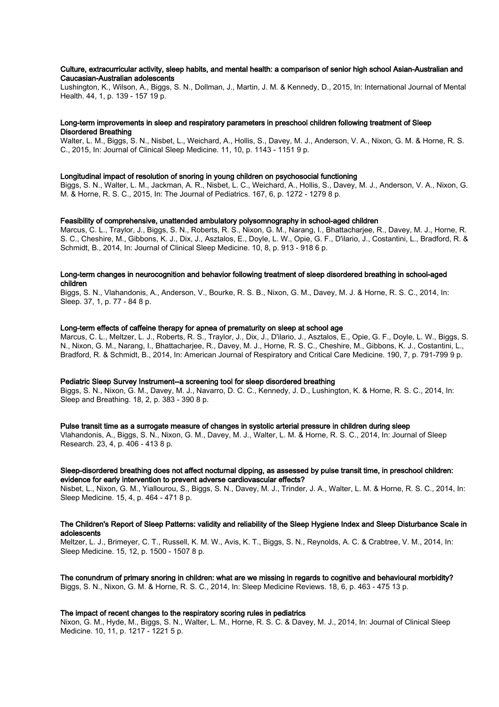# Culture, extracurricular activity, sleep habits, and mental health: a comparison of senior high school Asian-Australian and Caucasian-Australian adolescents

Lushington, K., Wilson, A., Biggs, S. N., Dollman, J., Martin, J. M. & Kennedy, D., 2015, In: International Journal of Mental Health. 44, 1, p. 139 - 157 19 p.

## Long-term improvements in sleep and respiratory parameters in preschool children following treatment of Sleep Disordered Breathing

Walter, L. M., Biggs, S. N., Nisbet, L., Weichard, A., Hollis, S., Davey, M. J., Anderson, V. A., Nixon, G. M. & Horne, R. S. C., 2015, In: Journal of Clinical Sleep Medicine. 11, 10, p. 1143 - 1151 9 p.

#### Longitudinal impact of resolution of snoring in young children on psychosocial functioning

Biggs, S. N., Walter, L. M., Jackman, A. R., Nisbet, L. C., Weichard, A., Hollis, S., Davey, M. J., Anderson, V. A., Nixon, G. M. & Horne, R. S. C., 2015, In: The Journal of Pediatrics. 167, 6, p. 1272 - 1279 8 p.

#### Feasibility of comprehensive, unattended ambulatory polysomnography in school-aged children

Marcus, C. L., Traylor, J., Biggs, S. N., Roberts, R. S., Nixon, G. M., Narang, I., Bhattacharjee, R., Davey, M. J., Horne, R. S. C., Cheshire, M., Gibbons, K. J., Dix, J., Asztalos, E., Doyle, L. W., Opie, G. F., D'ilario, J., Costantini, L., Bradford, R. & Schmidt, B., 2014, In: Journal of Clinical Sleep Medicine. 10, 8, p. 913 - 918 6 p.

# Long-term changes in neurocognition and behavior following treatment of sleep disordered breathing in school-aged children

Biggs, S. N., Vlahandonis, A., Anderson, V., Bourke, R. S. B., Nixon, G. M., Davey, M. J. & Horne, R. S. C., 2014, In: Sleep. 37, 1, p. 77 - 84 8 p.

# Long-term effects of caffeine therapy for apnea of prematurity on sleep at school age

Marcus, C. L., Meltzer, L. J., Roberts, R. S., Traylor, J., Dix, J., D'ilario, J., Asztalos, E., Opie, G. F., Doyle, L. W., Biggs, S. N., Nixon, G. M., Narang, I., Bhattacharjee, R., Davey, M. J., Horne, R. S. C., Cheshire, M., Gibbons, K. J., Costantini, L., Bradford, R. & Schmidt, B., 2014, In: American Journal of Respiratory and Critical Care Medicine. 190, 7, p. 791-799 9 p.

# Pediatric Sleep Survey Instrument--a screening tool for sleep disordered breathing

Biggs, S. N., Nixon, G. M., Davey, M. J., Navarro, D. C. C., Kennedy, J. D., Lushington, K. & Horne, R. S. C., 2014, In: Sleep and Breathing. 18, 2, p. 383 - 390 8 p.

# Pulse transit time as a surrogate measure of changes in systolic arterial pressure in children during sleep

Vlahandonis, A., Biggs, S. N., Nixon, G. M., Davey, M. J., Walter, L. M. & Horne, R. S. C., 2014, In: Journal of Sleep Research. 23, 4, p. 406 - 413 8 p.

# Sleep-disordered breathing does not affect nocturnal dipping, as assessed by pulse transit time, in preschool children: evidence for early intervention to prevent adverse cardiovascular effects?

Nisbet, L., Nixon, G. M., Yiallourou, S., Biggs, S. N., Davey, M. J., Trinder, J. A., Walter, L. M. & Horne, R. S. C., 2014, In: Sleep Medicine. 15, 4, p. 464 - 471 8 p.

# The Children's Report of Sleep Patterns: validity and reliability of the Sleep Hygiene Index and Sleep Disturbance Scale in adolescents

Meltzer, L. J., Brimeyer, C. T., Russell, K. M. W., Avis, K. T., Biggs, S. N., Reynolds, A. C. & Crabtree, V. M., 2014, In: Sleep Medicine. 15, 12, p. 1500 - 1507 8 p.

The conundrum of primary snoring in children: what are we missing in regards to cognitive and behavioural morbidity? Biggs, S. N., Nixon, G. M. & Horne, R. S. C., 2014, In: Sleep Medicine Reviews. 18, 6, p. 463 - 475 13 p.

#### The impact of recent changes to the respiratory scoring rules in pediatrics

Nixon, G. M., Hyde, M., Biggs, S. N., Walter, L. M., Horne, R. S. C. & Davey, M. J., 2014, In: Journal of Clinical Sleep Medicine. 10, 11, p. 1217 - 1221 5 p.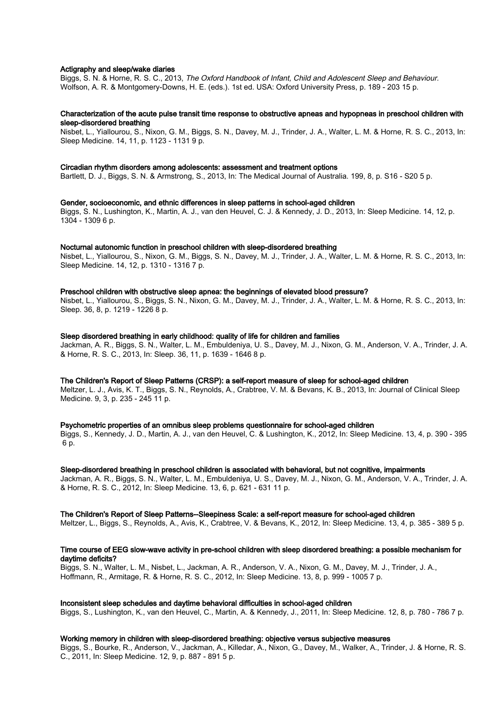### Actigraphy and sleep/wake diaries

Biggs, S. N. & Horne, R. S. C., 2013, The Oxford Handbook of Infant, Child and Adolescent Sleep and Behaviour. Wolfson, A. R. & Montgomery-Downs, H. E. (eds.). 1st ed. USA: Oxford University Press, p. 189 - 203 15 p.

### Characterization of the acute pulse transit time response to obstructive apneas and hypopneas in preschool children with sleep-disordered breathing

Nisbet, L., Yiallourou, S., Nixon, G. M., Biggs, S. N., Davey, M. J., Trinder, J. A., Walter, L. M. & Horne, R. S. C., 2013, In: Sleep Medicine. 14, 11, p. 1123 - 1131 9 p.

#### Circadian rhythm disorders among adolescents: assessment and treatment options

Bartlett, D. J., Biggs, S. N. & Armstrong, S., 2013, In: The Medical Journal of Australia. 199, 8, p. S16 - S20 5 p.

#### Gender, socioeconomic, and ethnic differences in sleep patterns in school-aged children

Biggs, S. N., Lushington, K., Martin, A. J., van den Heuvel, C. J. & Kennedy, J. D., 2013, In: Sleep Medicine. 14, 12, p. 1304 - 1309 6 p.

#### Nocturnal autonomic function in preschool children with sleep-disordered breathing

Nisbet, L., Yiallourou, S., Nixon, G. M., Biggs, S. N., Davey, M. J., Trinder, J. A., Walter, L. M. & Horne, R. S. C., 2013, In: Sleep Medicine. 14, 12, p. 1310 - 1316 7 p.

#### Preschool children with obstructive sleep apnea: the beginnings of elevated blood pressure?

Nisbet, L., Yiallourou, S., Biggs, S. N., Nixon, G. M., Davey, M. J., Trinder, J. A., Walter, L. M. & Horne, R. S. C., 2013, In: Sleep. 36, 8, p. 1219 - 1226 8 p.

#### Sleep disordered breathing in early childhood: quality of life for children and families

Jackman, A. R., Biggs, S. N., Walter, L. M., Embuldeniya, U. S., Davey, M. J., Nixon, G. M., Anderson, V. A., Trinder, J. A. & Horne, R. S. C., 2013, In: Sleep. 36, 11, p. 1639 - 1646 8 p.

# The Children's Report of Sleep Patterns (CRSP): a self-report measure of sleep for school-aged children

Meltzer, L. J., Avis, K. T., Biggs, S. N., Reynolds, A., Crabtree, V. M. & Bevans, K. B., 2013, In: Journal of Clinical Sleep Medicine. 9, 3, p. 235 - 245 11 p.

# Psychometric properties of an omnibus sleep problems questionnaire for school-aged children

Biggs, S., Kennedy, J. D., Martin, A. J., van den Heuvel, C. & Lushington, K., 2012, In: Sleep Medicine. 13, 4, p. 390 - 395 6 p.

#### Sleep-disordered breathing in preschool children is associated with behavioral, but not cognitive, impairments

Jackman, A. R., Biggs, S. N., Walter, L. M., Embuldeniya, U. S., Davey, M. J., Nixon, G. M., Anderson, V. A., Trinder, J. A. & Horne, R. S. C., 2012, In: Sleep Medicine. 13, 6, p. 621 - 631 11 p.

#### The Children's Report of Sleep Patterns--Sleepiness Scale: a self-report measure for school-aged children

Meltzer, L., Biggs, S., Reynolds, A., Avis, K., Crabtree, V. & Bevans, K., 2012, In: Sleep Medicine. 13, 4, p. 385 - 389 5 p.

# Time course of EEG slow-wave activity in pre-school children with sleep disordered breathing: a possible mechanism for daytime deficits?

Biggs, S. N., Walter, L. M., Nisbet, L., Jackman, A. R., Anderson, V. A., Nixon, G. M., Davey, M. J., Trinder, J. A., Hoffmann, R., Armitage, R. & Horne, R. S. C., 2012, In: Sleep Medicine. 13, 8, p. 999 - 1005 7 p.

# Inconsistent sleep schedules and daytime behavioral difficulties in school-aged children

Biggs, S., Lushington, K., van den Heuvel, C., Martin, A. & Kennedy, J., 2011, In: Sleep Medicine. 12, 8, p. 780 - 786 7 p.

#### Working memory in children with sleep-disordered breathing: objective versus subjective measures

Biggs, S., Bourke, R., Anderson, V., Jackman, A., Killedar, A., Nixon, G., Davey, M., Walker, A., Trinder, J. & Horne, R. S. C., 2011, In: Sleep Medicine. 12, 9, p. 887 - 891 5 p.